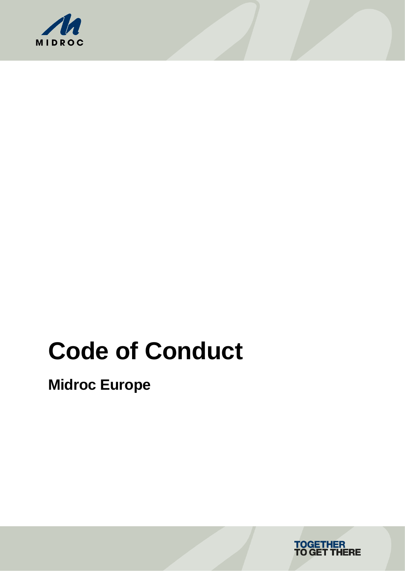

# **Code of Conduct**

**Midroc Europe**

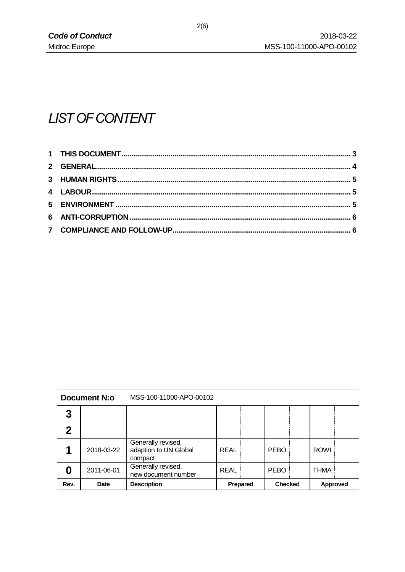# **LIST OF CONTENT**

| <b>Document N:o</b> |             | MSS-100-11000-APO-00102                                |                 |  |                |  |             |  |
|---------------------|-------------|--------------------------------------------------------|-----------------|--|----------------|--|-------------|--|
| 3                   |             |                                                        |                 |  |                |  |             |  |
| 2                   |             |                                                        |                 |  |                |  |             |  |
|                     | 2018-03-22  | Generally revised,<br>adaption to UN Global<br>compact | REAL            |  | <b>PEBO</b>    |  | <b>ROWI</b> |  |
|                     | 2011-06-01  | Generally revised,<br>new document number              | REAL            |  | <b>PEBO</b>    |  | <b>THMA</b> |  |
| Rev.                | <b>Date</b> | <b>Description</b>                                     | <b>Prepared</b> |  | <b>Checked</b> |  | Approved    |  |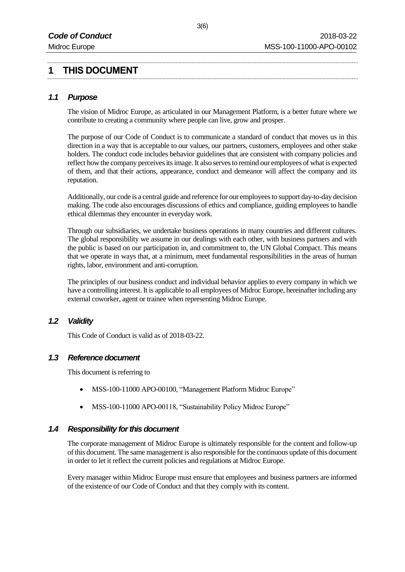# **1 THIS DOCUMENT**

#### *1.1 Purpose*

The vision of Midroc Europe, as articulated in our Management Platform, is a better future where we contribute to creating a community where people can live, grow and prosper.

The purpose of our Code of Conduct is to communicate a standard of conduct that moves us in this direction in a way that is acceptable to our values, our partners, customers, employees and other stake holders. The conduct code includes behavior guidelines that are consistent with company policies and reflect how the company perceives its image. It also serves to remind our employees of what is expected of them, and that their actions, appearance, conduct and demeanor will affect the company and its reputation.

Additionally, our code is a central guide and reference for our employees to support day-to-day decision making. The code also encourages discussions of ethics and compliance, guiding employees to handle ethical dilemmas they encounter in everyday work.

Through our subsidiaries, we undertake business operations in many countries and different cultures. The global responsibility we assume in our dealings with each other, with business partners and with the public is based on our participation in, and commitment to, the UN Global Compact. This means that we operate in ways that, at a minimum, meet fundamental responsibilities in the areas of human rights, labor, environment and anti-corruption.

The principles of our business conduct and individual behavior applies to every company in which we have a controlling interest. It is applicable to all employees of Midroc Europe, hereinafter including any external coworker, agent or trainee when representing Midroc Europe.

#### *1.2 Validity*

This Code of Conduct is valid as of 2018-03-22.

#### *1.3 Reference document*

This document is referring to

- MSS-100-11000 APO-00100, "Management Platform Midroc Europe"
- MSS-100-11000 APO-00118, "Sustainability Policy Midroc Europe"

#### *1.4 Responsibility for this document*

The corporate management of Midroc Europe is ultimately responsible for the content and follow-up of this document. The same management is also responsible for the continuous update of this document in order to let it reflect the current policies and regulations at Midroc Europe.

Every manager within Midroc Europe must ensure that employees and business partners are informed of the existence of our Code of Conduct and that they comply with its content.

3(6)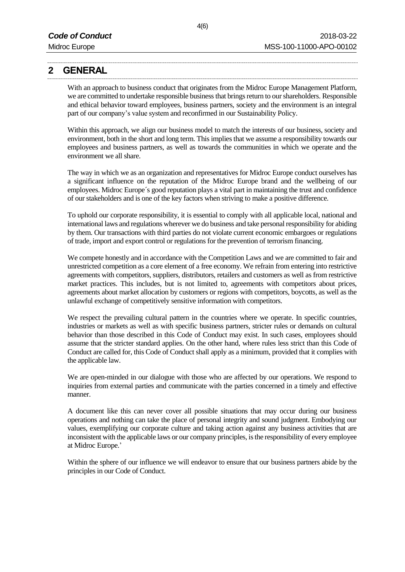# **2 GENERAL**

With an approach to business conduct that originates from the Midroc Europe Management Platform, we are committed to undertake responsible business that brings return to our shareholders. Responsible and ethical behavior toward employees, business partners, society and the environment is an integral part of our company's value system and reconfirmed in our Sustainability Policy.

Within this approach, we align our business model to match the interests of our business, society and environment, both in the short and long term. This implies that we assume a responsibility towards our employees and business partners, as well as towards the communities in which we operate and the environment we all share.

The way in which we as an organization and representatives for Midroc Europe conduct ourselves has a significant influence on the reputation of the Midroc Europe brand and the wellbeing of our employees. Midroc Europe´s good reputation plays a vital part in maintaining the trust and confidence of our stakeholders and is one of the key factors when striving to make a positive difference.

To uphold our corporate responsibility, it is essential to comply with all applicable local, national and international laws and regulations wherever we do business and take personal responsibility for abiding by them. Our transactions with third parties do not violate current economic embargoes or regulations of trade, import and export control or regulations for the prevention of terrorism financing.

We compete honestly and in accordance with the Competition Laws and we are committed to fair and unrestricted competition as a core element of a free economy. We refrain from entering into restrictive agreements with competitors, suppliers, distributors, retailers and customers as well as from restrictive market practices. This includes, but is not limited to, agreements with competitors about prices, agreements about market allocation by customers or regions with competitors, boycotts, as well as the unlawful exchange of competitively sensitive information with competitors.

We respect the prevailing cultural pattern in the countries where we operate. In specific countries, industries or markets as well as with specific business partners, stricter rules or demands on cultural behavior than those described in this Code of Conduct may exist. In such cases, employees should assume that the stricter standard applies. On the other hand, where rules less strict than this Code of Conduct are called for, this Code of Conduct shall apply as a minimum, provided that it complies with the applicable law.

We are open-minded in our dialogue with those who are affected by our operations. We respond to inquiries from external parties and communicate with the parties concerned in a timely and effective manner.

A document like this can never cover all possible situations that may occur during our business operations and nothing can take the place of personal integrity and sound judgment. Embodying our values, exemplifying our corporate culture and taking action against any business activities that are inconsistent with the applicable laws or our company principles, is the responsibility of every employee at Midroc Europe.'

Within the sphere of our influence we will endeavor to ensure that our business partners abide by the principles in our Code of Conduct.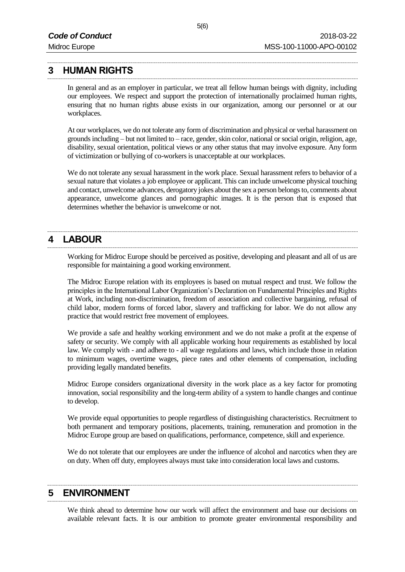#### **3 HUMAN RIGHTS**

In general and as an employer in particular, we treat all fellow human beings with dignity, including our employees. We respect and support the protection of internationally proclaimed human rights, ensuring that no human rights abuse exists in our organization, among our personnel or at our workplaces.

At our workplaces, we do not tolerate any form of discrimination and physical or verbal harassment on grounds including – but not limited to – race, gender, skin color, national or social origin, religion, age, disability, sexual orientation, political views or any other status that may involve exposure. Any form of victimization or bullying of co-workers is unacceptable at our workplaces.

We do not tolerate any sexual harassment in the work place. Sexual harassment refers to behavior of a sexual nature that violates a job employee or applicant. This can include unwelcome physical touching and contact, unwelcome advances, derogatory jokes about the sex a person belongs to, comments about appearance, unwelcome glances and pornographic images. It is the person that is exposed that determines whether the behavior is unwelcome or not.

### **4 LABOUR**

Working for Midroc Europe should be perceived as positive, developing and pleasant and all of us are responsible for maintaining a good working environment.

The Midroc Europe relation with its employees is based on mutual respect and trust. We follow the principles in the International Labor Organization's Declaration on Fundamental Principles and Rights at Work, including non-discrimination, freedom of association and collective bargaining, refusal of child labor, modern forms of forced labor, slavery and trafficking for labor. We do not allow any practice that would restrict free movement of employees.

We provide a safe and healthy working environment and we do not make a profit at the expense of safety or security. We comply with all applicable working hour requirements as established by local law. We comply with - and adhere to - all wage regulations and laws, which include those in relation to minimum wages, overtime wages, piece rates and other elements of compensation, including providing legally mandated benefits.

Midroc Europe considers organizational diversity in the work place as a key factor for promoting innovation, social responsibility and the long-term ability of a system to handle changes and continue to develop.

We provide equal opportunities to people regardless of distinguishing characteristics. Recruitment to both permanent and temporary positions, placements, training, remuneration and promotion in the Midroc Europe group are based on qualifications, performance, competence, skill and experience.

We do not tolerate that our employees are under the influence of alcohol and narcotics when they are on duty. When off duty, employees always must take into consideration local laws and customs.

#### **5 ENVIRONMENT**

We think ahead to determine how our work will affect the environment and base our decisions on available relevant facts. It is our ambition to promote greater environmental responsibility and